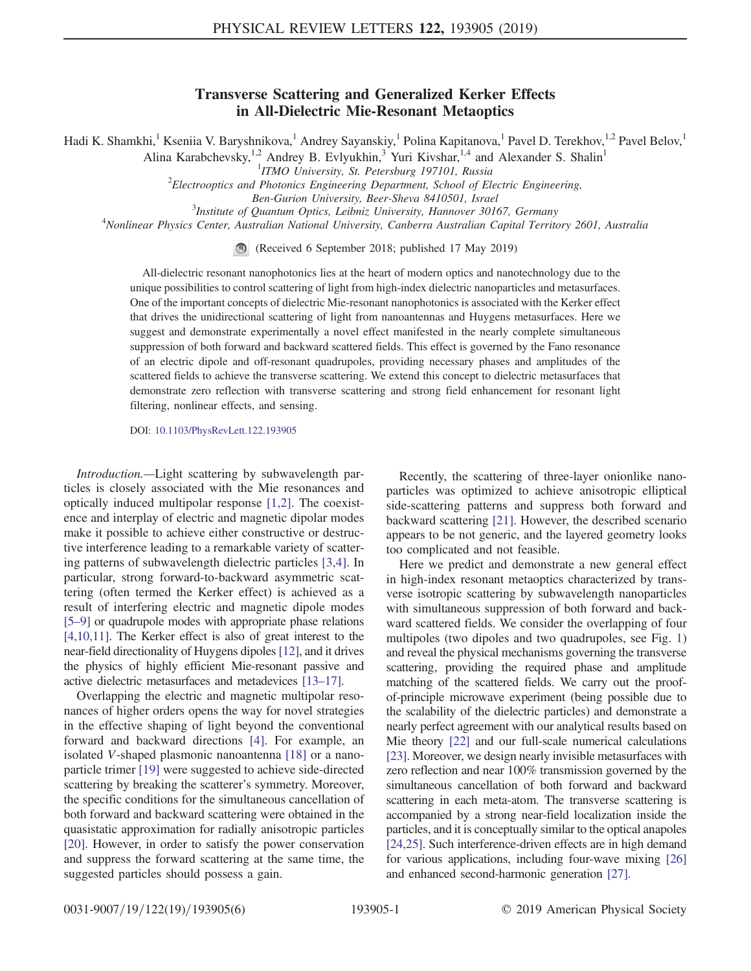## Transverse Scattering and Generalized Kerker Effects in All-Dielectric Mie-Resonant Metaoptics

Hadi K. Shamkhi,<sup>1</sup> Kseniia V. Baryshnikova,<sup>1</sup> Andrey Sayanskiy,<sup>1</sup> Polina Kapitanova,<sup>1</sup> Pavel D. Terekhov,<sup>1,2</sup> Pavel Belov,<sup>1</sup> Alina Karabchevsky,<sup>1,2</sup> Andrey B. Evlyukhin,<sup>3</sup> Yuri Kivshar,<sup>1,4</sup> and Alexander S. Shalin<sup>1</sup>

 $1$ ITMO University, St. Petersburg 197101, Russia

<sup>1</sup>ITMO University, St. Petersburg 197101, Russia<br><sup>2</sup>Electrooptics and Photonics Engineering Department, School of Electric Engineering,

Ben-Gurion University, Beer-Sheva 8410501, Israel

 $3$ Institute of Quantum Optics, Leibniz University, Hannover 30167, Germany

<sup>4</sup>Nonlinear Physics Center, Australian National University, Canberra Australian Capital Territory 2601, Australia

(Received 6 September 2018; published 17 May 2019)

All-dielectric resonant nanophotonics lies at the heart of modern optics and nanotechnology due to the unique possibilities to control scattering of light from high-index dielectric nanoparticles and metasurfaces. One of the important concepts of dielectric Mie-resonant nanophotonics is associated with the Kerker effect that drives the unidirectional scattering of light from nanoantennas and Huygens metasurfaces. Here we suggest and demonstrate experimentally a novel effect manifested in the nearly complete simultaneous suppression of both forward and backward scattered fields. This effect is governed by the Fano resonance of an electric dipole and off-resonant quadrupoles, providing necessary phases and amplitudes of the scattered fields to achieve the transverse scattering. We extend this concept to dielectric metasurfaces that demonstrate zero reflection with transverse scattering and strong field enhancement for resonant light filtering, nonlinear effects, and sensing.

DOI: [10.1103/PhysRevLett.122.193905](https://doi.org/10.1103/PhysRevLett.122.193905)

Introduction.—Light scattering by subwavelength particles is closely associated with the Mie resonances and optically induced multipolar response [\[1,2\].](#page-4-0) The coexistence and interplay of electric and magnetic dipolar modes make it possible to achieve either constructive or destructive interference leading to a remarkable variety of scattering patterns of subwavelength dielectric particles [\[3,4\].](#page-4-1) In particular, strong forward-to-backward asymmetric scattering (often termed the Kerker effect) is achieved as a result of interfering electric and magnetic dipole modes [5–[9\]](#page-4-2) or quadrupole modes with appropriate phase relations [\[4,10,11\].](#page-4-3) The Kerker effect is also of great interest to the near-field directionality of Huygens dipoles [\[12\],](#page-4-4) and it drives the physics of highly efficient Mie-resonant passive and active dielectric metasurfaces and metadevices [\[13](#page-4-5)–17].

Overlapping the electric and magnetic multipolar resonances of higher orders opens the way for novel strategies in the effective shaping of light beyond the conventional forward and backward directions [\[4\].](#page-4-3) For example, an isolated V-shaped plasmonic nanoantenna [\[18\]](#page-5-0) or a nanoparticle trimer [\[19\]](#page-5-1) were suggested to achieve side-directed scattering by breaking the scatterer's symmetry. Moreover, the specific conditions for the simultaneous cancellation of both forward and backward scattering were obtained in the quasistatic approximation for radially anisotropic particles [\[20\]](#page-5-2). However, in order to satisfy the power conservation and suppress the forward scattering at the same time, the suggested particles should possess a gain.

Recently, the scattering of three-layer onionlike nanoparticles was optimized to achieve anisotropic elliptical side-scattering patterns and suppress both forward and backward scattering [\[21\].](#page-5-3) However, the described scenario appears to be not generic, and the layered geometry looks too complicated and not feasible.

Here we predict and demonstrate a new general effect in high-index resonant metaoptics characterized by transverse isotropic scattering by subwavelength nanoparticles with simultaneous suppression of both forward and backward scattered fields. We consider the overlapping of four multipoles (two dipoles and two quadrupoles, see Fig. [1\)](#page-1-0) and reveal the physical mechanisms governing the transverse scattering, providing the required phase and amplitude matching of the scattered fields. We carry out the proofof-principle microwave experiment (being possible due to the scalability of the dielectric particles) and demonstrate a nearly perfect agreement with our analytical results based on Mie theory [\[22\]](#page-5-4) and our full-scale numerical calculations [\[23\].](#page-5-5) Moreover, we design nearly invisible metasurfaces with zero reflection and near 100% transmission governed by the simultaneous cancellation of both forward and backward scattering in each meta-atom. The transverse scattering is accompanied by a strong near-field localization inside the particles, and it is conceptually similar to the optical anapoles [\[24,25\].](#page-5-6) Such interference-driven effects are in high demand for various applications, including four-wave mixing [\[26\]](#page-5-7) and enhanced second-harmonic generation [\[27\].](#page-5-8)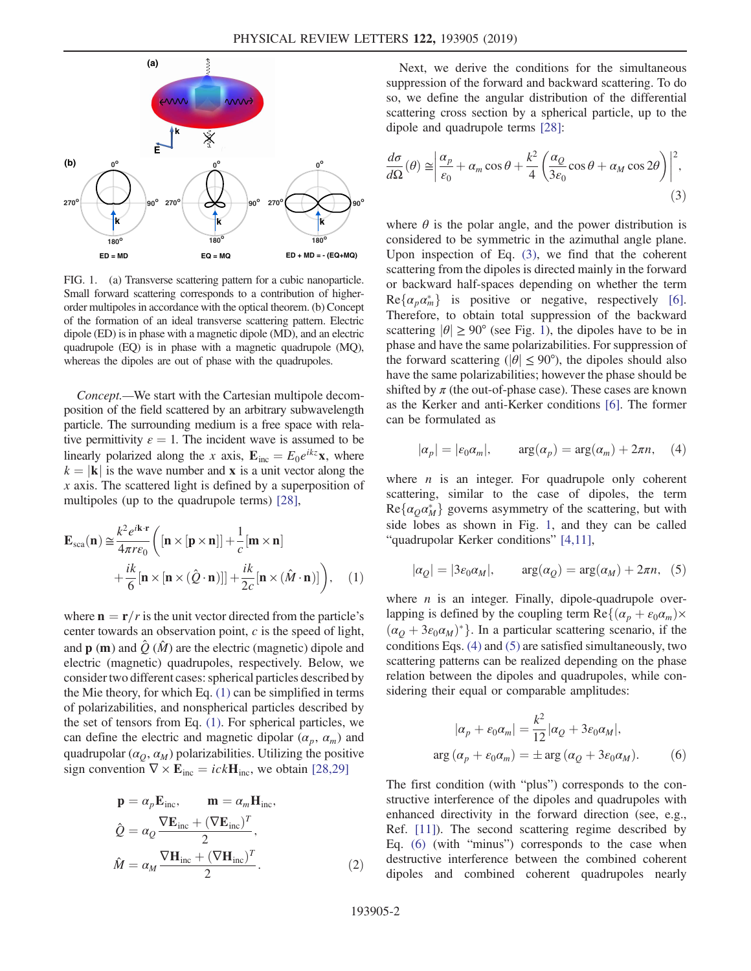<span id="page-1-0"></span>

FIG. 1. (a) Transverse scattering pattern for a cubic nanoparticle. Small forward scattering corresponds to a contribution of higherorder multipoles in accordance with the optical theorem. (b) Concept of the formation of an ideal transverse scattering pattern. Electric dipole (ED) is in phase with a magnetic dipole (MD), and an electric quadrupole (EQ) is in phase with a magnetic quadrupole (MQ), whereas the dipoles are out of phase with the quadrupoles.

Concept.—We start with the Cartesian multipole decomposition of the field scattered by an arbitrary subwavelength particle. The surrounding medium is a free space with relative permittivity  $\varepsilon = 1$ . The incident wave is assumed to be linearly polarized along the x axis,  $\mathbf{E}_{inc} = E_0 e^{ikz} \mathbf{x}$ , where  $k = |\mathbf{k}|$  is the wave number and **x** is a unit vector along the  $x$  axis. The scattered light is defined by a superposition of multipoles (up to the quadrupole terms) [\[28\],](#page-5-9)

<span id="page-1-1"></span>
$$
\mathbf{E}_{\rm sca}(\mathbf{n}) \approx \frac{k^2 e^{i\mathbf{k} \cdot \mathbf{r}}}{4\pi r \epsilon_0} \left( [\mathbf{n} \times [\mathbf{p} \times \mathbf{n}]] + \frac{1}{c} [\mathbf{m} \times \mathbf{n}] + \frac{ik}{6} [\mathbf{n} \times [\mathbf{n} \times (\hat{Q} \cdot \mathbf{n})]] + \frac{ik}{2c} [\mathbf{n} \times (\hat{M} \cdot \mathbf{n})] \right), \quad (1)
$$

where  $\mathbf{n}=\mathbf{r}/r$  is the unit vector directed from the particle's center towards an observation point,  $c$  is the speed of light, and  $\bf{p}$  (m) and  $\hat{Q}$  ( $\hat{M}$ ) are the electric (magnetic) dipole and electric (magnetic) quadrupoles, respectively. Below, we consider two different cases: spherical particles described by the Mie theory, for which Eq. [\(1\)](#page-1-1) can be simplified in terms of polarizabilities, and nonspherical particles described by the set of tensors from Eq. [\(1\)](#page-1-1). For spherical particles, we can define the electric and magnetic dipolar  $(\alpha_p, \alpha_m)$  and quadrupolar ( $\alpha_Q$ ,  $\alpha_M$ ) polarizabilities. Utilizing the positive sign convention  $\nabla \times \mathbf{E}_{\text{inc}} = ick\mathbf{H}_{\text{inc}}$ , we obtain [\[28,29\]](#page-5-9)

$$
\mathbf{p} = \alpha_p \mathbf{E}_{\text{inc}}, \qquad \mathbf{m} = \alpha_m \mathbf{H}_{\text{inc}},
$$
  
\n
$$
\hat{Q} = \alpha_Q \frac{\nabla \mathbf{E}_{\text{inc}} + (\nabla \mathbf{E}_{\text{inc}})^T}{2},
$$
  
\n
$$
\hat{M} = \alpha_M \frac{\nabla \mathbf{H}_{\text{inc}} + (\nabla \mathbf{H}_{\text{inc}})^T}{2}.
$$
\n(2)

Next, we derive the conditions for the simultaneous suppression of the forward and backward scattering. To do so, we define the angular distribution of the differential scattering cross section by a spherical particle, up to the dipole and quadrupole terms [\[28\]:](#page-5-9)

<span id="page-1-2"></span>
$$
\frac{d\sigma}{d\Omega}(\theta) \approx \left| \frac{\alpha_p}{\varepsilon_0} + \alpha_m \cos \theta + \frac{k^2}{4} \left( \frac{\alpha_Q}{3\varepsilon_0} \cos \theta + \alpha_M \cos 2\theta \right) \right|^2, \tag{3}
$$

where  $\theta$  is the polar angle, and the power distribution is considered to be symmetric in the azimuthal angle plane. Upon inspection of Eq. [\(3\),](#page-1-2) we find that the coherent scattering from the dipoles is directed mainly in the forward or backward half-spaces depending on whether the term  $Re{\lbrace \alpha_p \alpha_m^* \rbrace}$  is positive or negative, respectively [\[6\]](#page-4-6).<br>Therefore to obtain total suppression of the backward Therefore, to obtain total suppression of the backward scattering  $|\theta| \ge 90^{\circ}$  (see Fig. [1](#page-1-0)), the dipoles have to be in phase and have the same polarizabilities. For suppression of the forward scattering ( $|\theta| \le 90^{\circ}$ ), the dipoles should also have the same polarizabilities; however the phase should be shifted by  $\pi$  (the out-of-phase case). These cases are known as the Kerker and anti-Kerker conditions [\[6\].](#page-4-6) The former can be formulated as

<span id="page-1-3"></span>
$$
|\alpha_p| = |\varepsilon_0 \alpha_m|, \qquad \arg(\alpha_p) = \arg(\alpha_m) + 2\pi n, \quad (4)
$$

where  $n$  is an integer. For quadrupole only coherent scattering, similar to the case of dipoles, the term  $Re\{\alpha_Q \alpha_M^* \}$  governs asymmetry of the scattering, but with side lobes as shown in Fig. 1 and they can be called side lobes as shown in Fig. [1,](#page-1-0) and they can be called "quadrupolar Kerker conditions" [\[4,11\]](#page-4-3),

<span id="page-1-4"></span>
$$
|\alpha_{Q}| = |3\varepsilon_{0}\alpha_{M}|
$$
,  $arg(\alpha_{Q}) = arg(\alpha_{M}) + 2\pi n$ , (5)

where  $n$  is an integer. Finally, dipole-quadrupole overlapping is defined by the coupling term  $\text{Re}\{(\alpha_p + \varepsilon_0\alpha_m)\times$  $(\alpha_0 + 3\varepsilon_0 \alpha_M)^*$ . In a particular scattering scenario, if the conditions Eqs. [\(4\)](#page-1-3) and [\(5\)](#page-1-4) are satisfied simultaneously, two scattering patterns can be realized depending on the phase relation between the dipoles and quadrupoles, while considering their equal or comparable amplitudes:

<span id="page-1-5"></span>
$$
|\alpha_p + \varepsilon_0 \alpha_m| = \frac{k^2}{12} |\alpha_Q + 3\varepsilon_0 \alpha_M|,
$$
  
arg  $(\alpha_p + \varepsilon_0 \alpha_m) = \pm \arg (\alpha_Q + 3\varepsilon_0 \alpha_M).$  (6)

The first condition (with "plus") corresponds to the constructive interference of the dipoles and quadrupoles with enhanced directivity in the forward direction (see, e.g., Ref. [\[11\]\)](#page-4-7). The second scattering regime described by Eq. [\(6\)](#page-1-5) (with "minus") corresponds to the case when destructive interference between the combined coherent dipoles and combined coherent quadrupoles nearly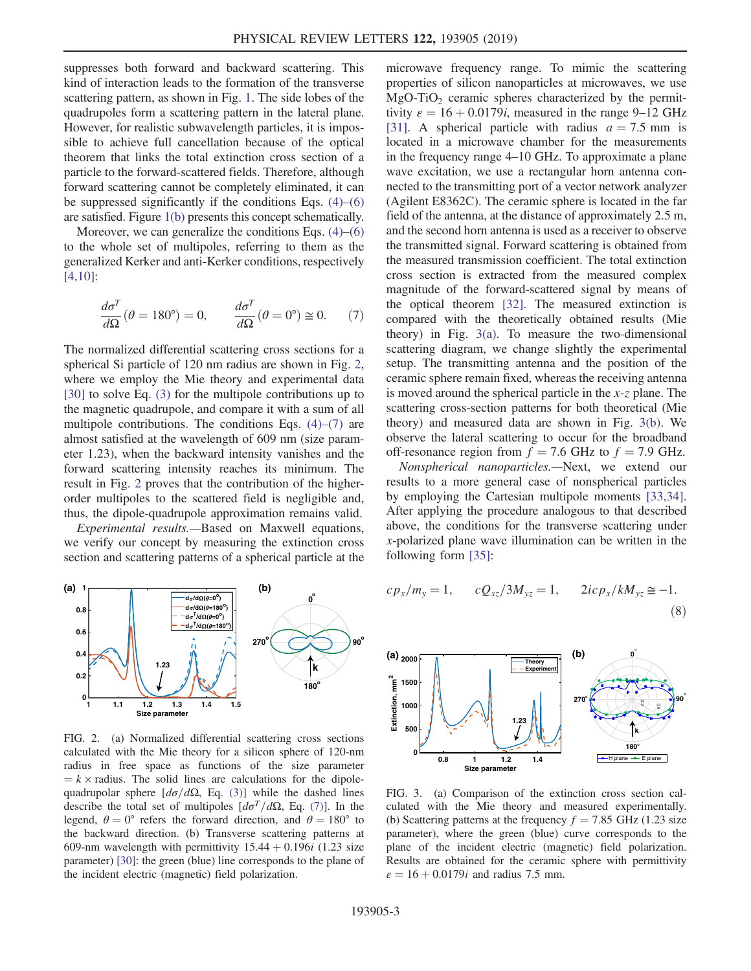suppresses both forward and backward scattering. This kind of interaction leads to the formation of the transverse scattering pattern, as shown in Fig. [1](#page-1-0). The side lobes of the quadrupoles form a scattering pattern in the lateral plane. However, for realistic subwavelength particles, it is impossible to achieve full cancellation because of the optical theorem that links the total extinction cross section of a particle to the forward-scattered fields. Therefore, although forward scattering cannot be completely eliminated, it can be suppressed significantly if the conditions Eqs.  $(4)$ – $(6)$ are satisfied. Figure [1\(b\)](#page-1-0) presents this concept schematically.

<span id="page-2-1"></span>Moreover, we can generalize the conditions Eqs.  $(4)$ – $(6)$ to the whole set of multipoles, referring to them as the generalized Kerker and anti-Kerker conditions, respectively [\[4,10\]](#page-4-3):

$$
\frac{d\sigma^T}{d\Omega}(\theta = 180^\circ) = 0, \qquad \frac{d\sigma^T}{d\Omega}(\theta = 0^\circ) \cong 0. \tag{7}
$$

The normalized differential scattering cross sections for a spherical Si particle of 120 nm radius are shown in Fig. [2](#page-2-0), where we employ the Mie theory and experimental data [\[30\]](#page-5-10) to solve Eq. [\(3\)](#page-1-2) for the multipole contributions up to the magnetic quadrupole, and compare it with a sum of all multipole contributions. The conditions Eqs.  $(4)$ – $(7)$  are almost satisfied at the wavelength of 609 nm (size parameter 1.23), when the backward intensity vanishes and the forward scattering intensity reaches its minimum. The result in Fig. [2](#page-2-0) proves that the contribution of the higherorder multipoles to the scattered field is negligible and, thus, the dipole-quadrupole approximation remains valid.

Experimental results.—Based on Maxwell equations, we verify our concept by measuring the extinction cross section and scattering patterns of a spherical particle at the

<span id="page-2-0"></span>

FIG. 2. (a) Normalized differential scattering cross sections calculated with the Mie theory for a silicon sphere of 120-nm radius in free space as functions of the size parameter  $k \times$  radius. The solid lines are calculations for the dipolequadrupolar sphere  $[d\sigma/d\Omega,$  Eq. [\(3\)](#page-1-2)] while the dashed lines describe the total set of multipoles  $\left[d\sigma^{T}/d\Omega,$  Eq. [\(7\)\]](#page-2-1). In the legend,  $\theta = 0^{\circ}$  refers the forward direction, and  $\theta = 180^{\circ}$  to the backward direction. (b) Transverse scattering patterns at 609-nm wavelength with permittivity  $15.44 + 0.196i$  (1.23 size parameter) [\[30\]:](#page-5-10) the green (blue) line corresponds to the plane of the incident electric (magnetic) field polarization.

microwave frequency range. To mimic the scattering properties of silicon nanoparticles at microwaves, we use  $MgO-TiO<sub>2</sub>$  ceramic spheres characterized by the permittivity  $\varepsilon = 16 + 0.0179i$ , measured in the range 9–12 GHz [\[31\]](#page-5-11). A spherical particle with radius  $a = 7.5$  mm is located in a microwave chamber for the measurements in the frequency range 4–10 GHz. To approximate a plane wave excitation, we use a rectangular horn antenna connected to the transmitting port of a vector network analyzer (Agilent E8362C). The ceramic sphere is located in the far field of the antenna, at the distance of approximately 2.5 m, and the second horn antenna is used as a receiver to observe the transmitted signal. Forward scattering is obtained from the measured transmission coefficient. The total extinction cross section is extracted from the measured complex magnitude of the forward-scattered signal by means of the optical theorem [\[32\].](#page-5-12) The measured extinction is compared with the theoretically obtained results (Mie theory) in Fig.  $3(a)$ . To measure the two-dimensional scattering diagram, we change slightly the experimental setup. The transmitting antenna and the position of the ceramic sphere remain fixed, whereas the receiving antenna is moved around the spherical particle in the  $x-z$  plane. The scattering cross-section patterns for both theoretical (Mie theory) and measured data are shown in Fig. [3\(b\).](#page-2-2) We observe the lateral scattering to occur for the broadband off-resonance region from  $f = 7.6$  GHz to  $f = 7.9$  GHz.

Nonspherical nanoparticles.—Next, we extend our results to a more general case of nonspherical particles by employing the Cartesian multipole moments [\[33,34\]](#page-5-13). After applying the procedure analogous to that described above, the conditions for the transverse scattering under x-polarized plane wave illumination can be written in the following form [\[35\]:](#page-5-14)

<span id="page-2-3"></span>
$$
cp_x/m_y = 1, \qquad cQ_{xz}/3M_{yz} = 1, \qquad 2icp_x/kM_{yz} \cong -1.
$$
\n(8)

<span id="page-2-2"></span>

FIG. 3. (a) Comparison of the extinction cross section calculated with the Mie theory and measured experimentally. (b) Scattering patterns at the frequency  $f = 7.85$  GHz (1.23 size parameter), where the green (blue) curve corresponds to the plane of the incident electric (magnetic) field polarization. Results are obtained for the ceramic sphere with permittivity  $\varepsilon = 16 + 0.0179i$  and radius 7.5 mm.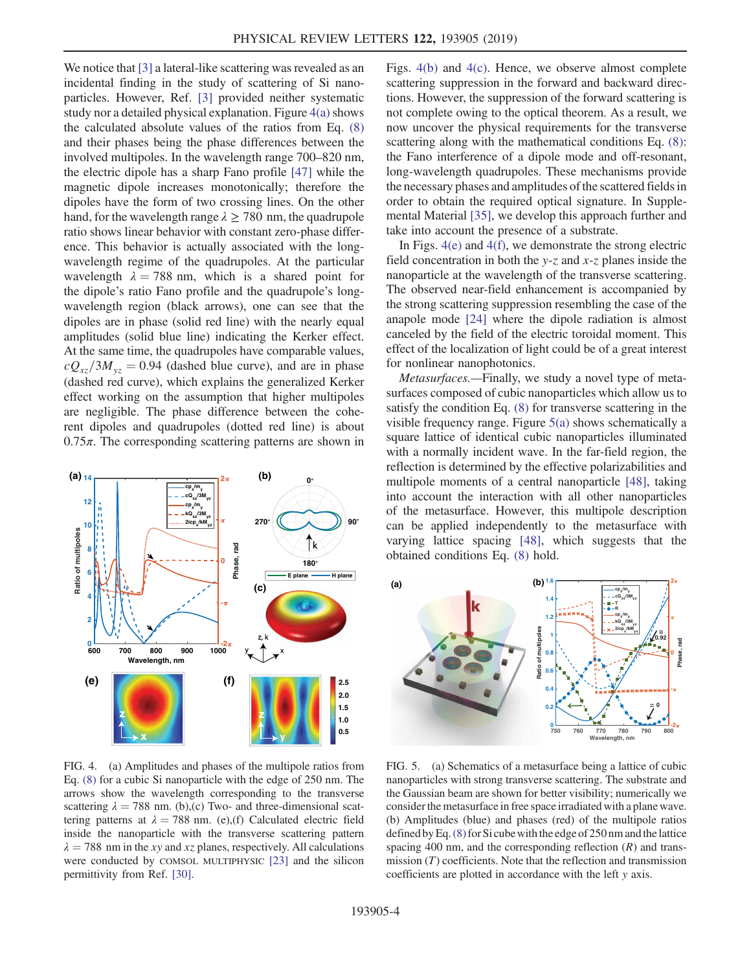We notice that [\[3\]](#page-4-1) a lateral-like scattering was revealed as an incidental finding in the study of scattering of Si nanoparticles. However, Ref. [\[3\]](#page-4-1) provided neither systematic study nor a detailed physical explanation. Figure  $4(a)$  shows the calculated absolute values of the ratios from Eq. [\(8\)](#page-2-3) and their phases being the phase differences between the involved multipoles. In the wavelength range 700–820 nm, the electric dipole has a sharp Fano profile [\[47\]](#page-5-15) while the magnetic dipole increases monotonically; therefore the dipoles have the form of two crossing lines. On the other hand, for the wavelength range  $\lambda \ge 780$  nm, the quadrupole ratio shows linear behavior with constant zero-phase difference. This behavior is actually associated with the longwavelength regime of the quadrupoles. At the particular wavelength  $\lambda = 788$  nm, which is a shared point for the dipole's ratio Fano profile and the quadrupole's longwavelength region (black arrows), one can see that the dipoles are in phase (solid red line) with the nearly equal amplitudes (solid blue line) indicating the Kerker effect. At the same time, the quadrupoles have comparable values,  $cQ_{xz}/3M_{yz} = 0.94$  (dashed blue curve), and are in phase (dashed red curve), which explains the generalized Kerker effect working on the assumption that higher multipoles are negligible. The phase difference between the coherent dipoles and quadrupoles (dotted red line) is about  $0.75\pi$ . The corresponding scattering patterns are shown in

<span id="page-3-0"></span>

FIG. 4. (a) Amplitudes and phases of the multipole ratios from Eq. [\(8\)](#page-2-3) for a cubic Si nanoparticle with the edge of 250 nm. The arrows show the wavelength corresponding to the transverse scattering  $\lambda = 788$  nm. (b),(c) Two- and three-dimensional scattering patterns at  $\lambda = 788$  nm. (e),(f) Calculated electric field inside the nanoparticle with the transverse scattering pattern  $\lambda = 788$  nm in the xy and xz planes, respectively. All calculations were conducted by COMSOL MULTIPHYSIC [\[23\]](#page-5-5) and the silicon permittivity from Ref. [\[30\].](#page-5-10)

Figs. [4\(b\)](#page-3-0) and [4\(c\)](#page-3-0). Hence, we observe almost complete scattering suppression in the forward and backward directions. However, the suppression of the forward scattering is not complete owing to the optical theorem. As a result, we now uncover the physical requirements for the transverse scattering along with the mathematical conditions Eq.  $(8)$ : the Fano interference of a dipole mode and off-resonant, long-wavelength quadrupoles. These mechanisms provide the necessary phases and amplitudes of the scattered fields in order to obtain the required optical signature. In Supplemental Material [\[35\],](#page-5-14) we develop this approach further and take into account the presence of a substrate.

In Figs. [4\(e\)](#page-3-0) and [4\(f\)](#page-3-0), we demonstrate the strong electric field concentration in both the y-z and  $x$ -z planes inside the nanoparticle at the wavelength of the transverse scattering. The observed near-field enhancement is accompanied by the strong scattering suppression resembling the case of the anapole mode [\[24\]](#page-5-6) where the dipole radiation is almost canceled by the field of the electric toroidal moment. This effect of the localization of light could be of a great interest for nonlinear nanophotonics.

Metasurfaces.—Finally, we study a novel type of metasurfaces composed of cubic nanoparticles which allow us to satisfy the condition Eq. [\(8\)](#page-2-3) for transverse scattering in the visible frequency range. Figure [5\(a\)](#page-3-1) shows schematically a square lattice of identical cubic nanoparticles illuminated with a normally incident wave. In the far-field region, the reflection is determined by the effective polarizabilities and multipole moments of a central nanoparticle [\[48\]](#page-5-16), taking into account the interaction with all other nanoparticles of the metasurface. However, this multipole description can be applied independently to the metasurface with varying lattice spacing [\[48\]](#page-5-16), which suggests that the obtained conditions Eq. [\(8\)](#page-2-3) hold.

<span id="page-3-1"></span>

FIG. 5. (a) Schematics of a metasurface being a lattice of cubic nanoparticles with strong transverse scattering. The substrate and the Gaussian beam are shown for better visibility; numerically we consider the metasurface in free space irradiated with a plane wave. (b) Amplitudes (blue) and phases (red) of the multipole ratios defined by Eq.  $(8)$  for Si cube with the edge of 250 nm and the lattice spacing 400 nm, and the corresponding reflection  $(R)$  and transmission  $(T)$  coefficients. Note that the reflection and transmission coefficients are plotted in accordance with the left y axis.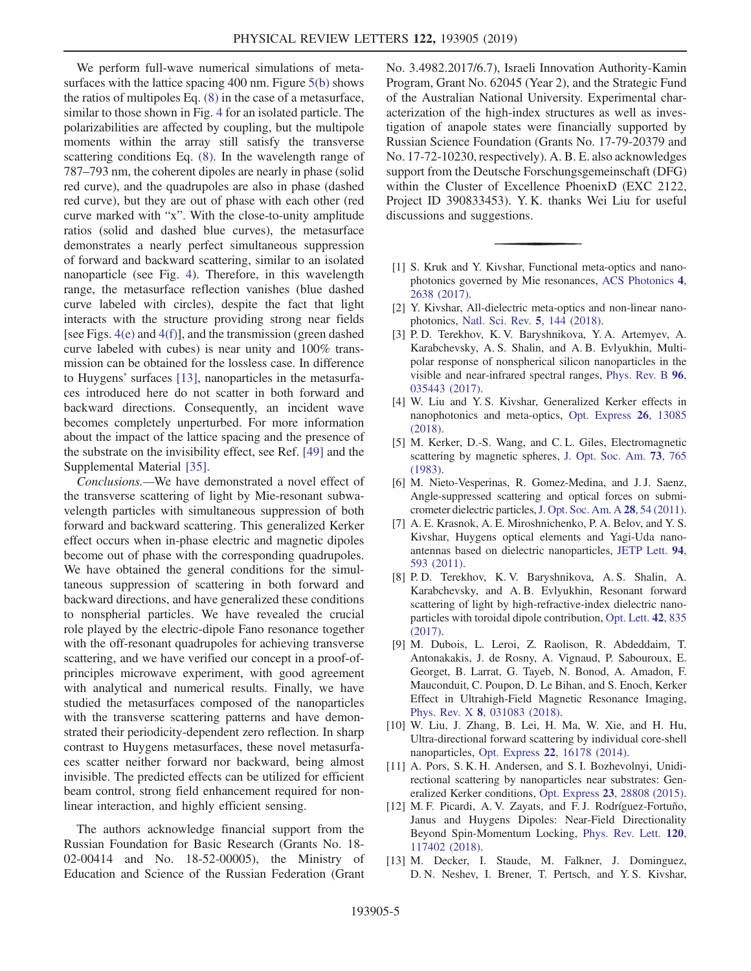We perform full-wave numerical simulations of metasurfaces with the lattice spacing 400 nm. Figure [5\(b\)](#page-3-1) shows the ratios of multipoles Eq. [\(8\)](#page-2-3) in the case of a metasurface, similar to those shown in Fig. [4](#page-3-0) for an isolated particle. The polarizabilities are affected by coupling, but the multipole moments within the array still satisfy the transverse scattering conditions Eq. [\(8\).](#page-2-3) In the wavelength range of 787–793 nm, the coherent dipoles are nearly in phase (solid red curve), and the quadrupoles are also in phase (dashed red curve), but they are out of phase with each other (red curve marked with "x". With the close-to-unity amplitude ratios (solid and dashed blue curves), the metasurface demonstrates a nearly perfect simultaneous suppression of forward and backward scattering, similar to an isolated nanoparticle (see Fig. [4\)](#page-3-0). Therefore, in this wavelength range, the metasurface reflection vanishes (blue dashed curve labeled with circles), despite the fact that light interacts with the structure providing strong near fields [see Figs. [4\(e\)](#page-3-0) and [4\(f\)\]](#page-3-0), and the transmission (green dashed curve labeled with cubes) is near unity and 100% transmission can be obtained for the lossless case. In difference to Huygens' surfaces [\[13\]](#page-4-5), nanoparticles in the metasurfaces introduced here do not scatter in both forward and backward directions. Consequently, an incident wave becomes completely unperturbed. For more information about the impact of the lattice spacing and the presence of the substrate on the invisibility effect, see Ref. [\[49\]](#page-5-17) and the Supplemental Material [\[35\].](#page-5-14)

Conclusions.—We have demonstrated a novel effect of the transverse scattering of light by Mie-resonant subwavelength particles with simultaneous suppression of both forward and backward scattering. This generalized Kerker effect occurs when in-phase electric and magnetic dipoles become out of phase with the corresponding quadrupoles. We have obtained the general conditions for the simultaneous suppression of scattering in both forward and backward directions, and have generalized these conditions to nonspherial particles. We have revealed the crucial role played by the electric-dipole Fano resonance together with the off-resonant quadrupoles for achieving transverse scattering, and we have verified our concept in a proof-ofprinciples microwave experiment, with good agreement with analytical and numerical results. Finally, we have studied the metasurfaces composed of the nanoparticles with the transverse scattering patterns and have demonstrated their periodicity-dependent zero reflection. In sharp contrast to Huygens metasurfaces, these novel metasurfaces scatter neither forward nor backward, being almost invisible. The predicted effects can be utilized for efficient beam control, strong field enhancement required for nonlinear interaction, and highly efficient sensing.

The authors acknowledge financial support from the Russian Foundation for Basic Research (Grants No. 18- 02-00414 and No. 18-52-00005), the Ministry of Education and Science of the Russian Federation (Grant No. 3.4982.2017/6.7), Israeli Innovation Authority-Kamin Program, Grant No. 62045 (Year 2), and the Strategic Fund of the Australian National University. Experimental characterization of the high-index structures as well as investigation of anapole states were financially supported by Russian Science Foundation (Grants No. 17-79-20379 and No. 17-72-10230, respectively). A. B. E. also acknowledges support from the Deutsche Forschungsgemeinschaft (DFG) within the Cluster of Excellence PhoenixD (EXC 2122, Project ID 390833453). Y. K. thanks Wei Liu for useful discussions and suggestions.

- <span id="page-4-0"></span>[1] S. Kruk and Y. Kivshar, Functional meta-optics and nanophotonics governed by Mie resonances, [ACS Photonics](https://doi.org/10.1021/acsphotonics.7b01038) 4, [2638 \(2017\)](https://doi.org/10.1021/acsphotonics.7b01038).
- [2] Y. Kivshar, All-dielectric meta-optics and non-linear nanophotonics, [Natl. Sci. Rev.](https://doi.org/10.1093/nsr/nwy017) 5, 144 (2018).
- <span id="page-4-1"></span>[3] P. D. Terekhov, K. V. Baryshnikova, Y. A. Artemyev, A. Karabchevsky, A. S. Shalin, and A. B. Evlyukhin, Multipolar response of nonspherical silicon nanoparticles in the visible and near-infrared spectral ranges, [Phys. Rev. B](https://doi.org/10.1103/PhysRevB.96.035443) 96, [035443 \(2017\).](https://doi.org/10.1103/PhysRevB.96.035443)
- <span id="page-4-3"></span>[4] W. Liu and Y. S. Kivshar, Generalized Kerker effects in nanophotonics and meta-optics, [Opt. Express](https://doi.org/10.1364/OE.26.013085) 26, 13085 [\(2018\).](https://doi.org/10.1364/OE.26.013085)
- <span id="page-4-2"></span>[5] M. Kerker, D.-S. Wang, and C. L. Giles, Electromagnetic scattering by magnetic spheres, [J. Opt. Soc. Am.](https://doi.org/10.1364/JOSA.73.000765) 73, 765 [\(1983\).](https://doi.org/10.1364/JOSA.73.000765)
- <span id="page-4-6"></span>[6] M. Nieto-Vesperinas, R. Gomez-Medina, and J. J. Saenz, Angle-suppressed scattering and optical forces on submicrometer dielectric particles,[J. Opt. Soc. Am. A](https://doi.org/10.1364/JOSAA.28.000054) 28, 54 (2011).
- [7] A. E. Krasnok, A. E. Miroshnichenko, P. A. Belov, and Y. S. Kivshar, Huygens optical elements and Yagi-Uda nanoantennas based on dielectric nanoparticles, [JETP Lett.](https://doi.org/10.1134/S0021364011200070) 94, [593 \(2011\)](https://doi.org/10.1134/S0021364011200070).
- [8] P. D. Terekhov, K. V. Baryshnikova, A. S. Shalin, A. Karabchevsky, and A. B. Evlyukhin, Resonant forward scattering of light by high-refractive-index dielectric nanoparticles with toroidal dipole contribution, [Opt. Lett.](https://doi.org/10.1364/OL.42.000835) 42, 835 [\(2017\).](https://doi.org/10.1364/OL.42.000835)
- [9] M. Dubois, L. Leroi, Z. Raolison, R. Abdeddaim, T. Antonakakis, J. de Rosny, A. Vignaud, P. Sabouroux, E. Georget, B. Larrat, G. Tayeb, N. Bonod, A. Amadon, F. Mauconduit, C. Poupon, D. Le Bihan, and S. Enoch, Kerker Effect in Ultrahigh-Field Magnetic Resonance Imaging, Phys. Rev. X 8[, 031083 \(2018\).](https://doi.org/10.1103/PhysRevX.8.031083)
- [10] W. Liu, J. Zhang, B. Lei, H. Ma, W. Xie, and H. Hu, Ultra-directional forward scattering by individual core-shell nanoparticles, Opt. Express 22[, 16178 \(2014\)](https://doi.org/10.1364/OE.22.016178).
- <span id="page-4-7"></span>[11] A. Pors, S. K. H. Andersen, and S. I. Bozhevolnyi, Unidirectional scattering by nanoparticles near substrates: Generalized Kerker conditions, Opt. Express 23[, 28808 \(2015\).](https://doi.org/10.1364/OE.23.028808)
- <span id="page-4-4"></span>[12] M. F. Picardi, A. V. Zayats, and F. J. Rodríguez-Fortuño, Janus and Huygens Dipoles: Near-Field Directionality Beyond Spin-Momentum Locking, [Phys. Rev. Lett.](https://doi.org/10.1103/PhysRevLett.120.117402) 120, [117402 \(2018\).](https://doi.org/10.1103/PhysRevLett.120.117402)
- <span id="page-4-5"></span>[13] M. Decker, I. Staude, M. Falkner, J. Dominguez, D. N. Neshev, I. Brener, T. Pertsch, and Y. S. Kivshar,